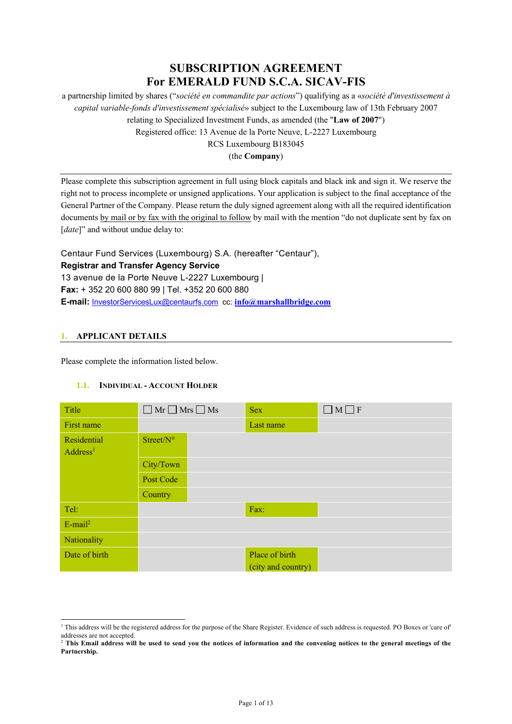# **SUBSCRIPTION AGREEMENT For EMERALD FUND S.C.A. SICAV-FIS**

a partnership limited by shares ("*société en commandite par actions*") qualifying as a «*société d'investissement à capital variable-fonds d'investissement spécialisé*» subject to the Luxembourg law of 13th February 2007 relating to Specialized Investment Funds, as amended (the "**Law of 2007**") Registered office: 13 Avenue de la Porte Neuve, L-2227 Luxembourg RCS Luxembourg B183045

(the **Company**)

Please complete this subscription agreement in full using block capitals and black ink and sign it. We reserve the right not to process incomplete or unsigned applications. Your application is subject to the final acceptance of the General Partner of the Company. Please return the duly signed agreement along with all the required identification documents by mail or by fax with the original to follow by mail with the mention "do not duplicate sent by fax on [*date*]" and without undue delay to:

Centaur Fund Services (Luxembourg) S.A. (hereafter "Centaur"), **Registrar and Transfer Agency Service**  13 avenue de la Porte Neuve L-2227 Luxembourg | **Fax:** + 352 20 600 880 99 | Tel. +352 20 600 880 **E-mail:** InvestorServicesLux@centaurfs.com cc: **info@marshallbridge.com**

## **1. APPLICANT DETAILS**

Please complete the information listed below.

## **1.1. INDIVIDUAL - ACCOUNT HOLDER**

| Title                               | $\Box$ Mr $\Box$ Mrs $\Box$ Ms |  | <b>Sex</b>                           | $\Box M \Box F$ |  |  |  |
|-------------------------------------|--------------------------------|--|--------------------------------------|-----------------|--|--|--|
| First name                          |                                |  | Last name                            |                 |  |  |  |
| Residential<br>Address <sup>1</sup> | Street/N°                      |  |                                      |                 |  |  |  |
| City/Town                           |                                |  |                                      |                 |  |  |  |
|                                     | Post Code                      |  |                                      |                 |  |  |  |
|                                     | Country                        |  |                                      |                 |  |  |  |
| Tel:                                |                                |  | Fax:                                 |                 |  |  |  |
| $E$ -mail <sup>2</sup>              |                                |  |                                      |                 |  |  |  |
| Nationality                         |                                |  |                                      |                 |  |  |  |
| Date of birth                       |                                |  | Place of birth<br>(city and country) |                 |  |  |  |

 $1$  This address will be the registered address for the purpose of the Share Register. Evidence of such address is requested. PO Boxes or 'care of' addresses are not accepted.

<sup>&</sup>lt;sup>2</sup> This Email address will be used to send you the notices of information and the convening notices to the general meetings of the **Partnership.**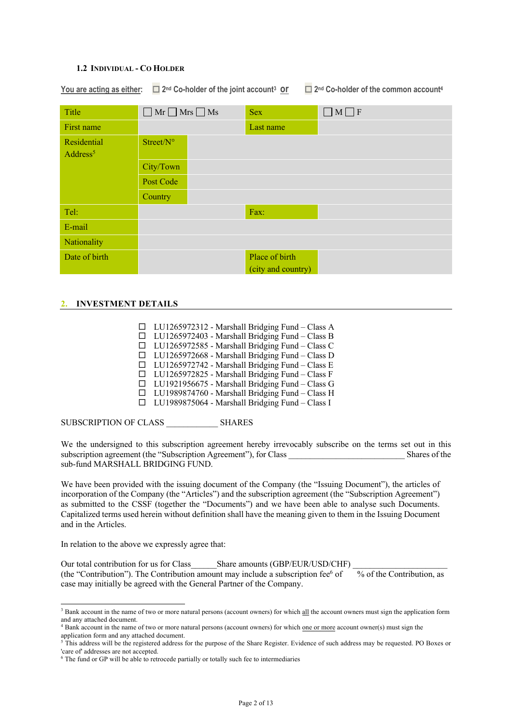#### **1.2 INDIVIDUAL - CO HOLDER**

**You are acting as either:** ¨ **2nd Co-holder of the joint account3 or** ¨ **2nd Co-holder of the common account4**

| Title                               | $\Box$ Mr $\Box$ Mrs $\Box$ Ms | <b>Sex</b>                           | $\Box M \Box F$ |
|-------------------------------------|--------------------------------|--------------------------------------|-----------------|
| First name                          |                                | Last name                            |                 |
| Residential<br>Address <sup>5</sup> | Street/N°                      |                                      |                 |
|                                     | City/Town                      |                                      |                 |
|                                     | Post Code                      |                                      |                 |
|                                     | Country                        |                                      |                 |
| Tel:                                |                                | Fax:                                 |                 |
| E-mail                              |                                |                                      |                 |
| Nationality                         |                                |                                      |                 |
| Date of birth                       |                                | Place of birth<br>(city and country) |                 |

## **2. INVESTMENT DETAILS**

 $\Box$  LU1265972312 - Marshall Bridging Fund – Class A  $\Box$  LU1265972403 - Marshall Bridging Fund – Class B  $\Box$  LU1265972585 - Marshall Bridging Fund – Class C  $\Box$  LU1265972668 - Marshall Bridging Fund – Class D  $\Box$  LU1265972742 - Marshall Bridging Fund – Class E  $\Box$  LU1265972825 - Marshall Bridging Fund – Class F  $\Box$  LU1921956675 - Marshall Bridging Fund – Class G  $\Box$  LU1989874760 - Marshall Bridging Fund – Class H  $\Box$  LU1989875064 - Marshall Bridging Fund – Class I

SUBSCRIPTION OF CLASS SHARES

We the undersigned to this subscription agreement hereby irrevocably subscribe on the terms set out in this subscription agreement (the "Subscription Agreement"), for Class  $\blacksquare$  Shares of the sub-fund MARSHALL BRIDGING FUND.

We have been provided with the issuing document of the Company (the "Issuing Document"), the articles of incorporation of the Company (the "Articles") and the subscription agreement (the "Subscription Agreement") as submitted to the CSSF (together the "Documents") and we have been able to analyse such Documents. Capitalized terms used herein without definition shall have the meaning given to them in the Issuing Document and in the Articles.

In relation to the above we expressly agree that:

Our total contribution for us for Class\_\_\_\_\_\_\_Share amounts (GBP/EUR/USD/CHF) (the "Contribution"). The Contribution amount may include a subscription fee<sup>6</sup> of % of the Contribution, as case may initially be agreed with the General Partner of the Company.

<sup>&</sup>lt;sup>3</sup> Bank account in the name of two or more natural persons (account owners) for which all the account owners must sign the application form and any attached document.

<sup>4</sup> Bank account in the name of two or more natural persons (account owners) for which one or more account owner(s) must sign the application form and any attached document.

<sup>&</sup>lt;sup>5</sup>This address will be the registered address for the purpose of the Share Register. Evidence of such address may be requested. PO Boxes or 'care of' addresses are not accepted.

<sup>&</sup>lt;sup>6</sup> The fund or GP will be able to retrocede partially or totally such fee to intermediaries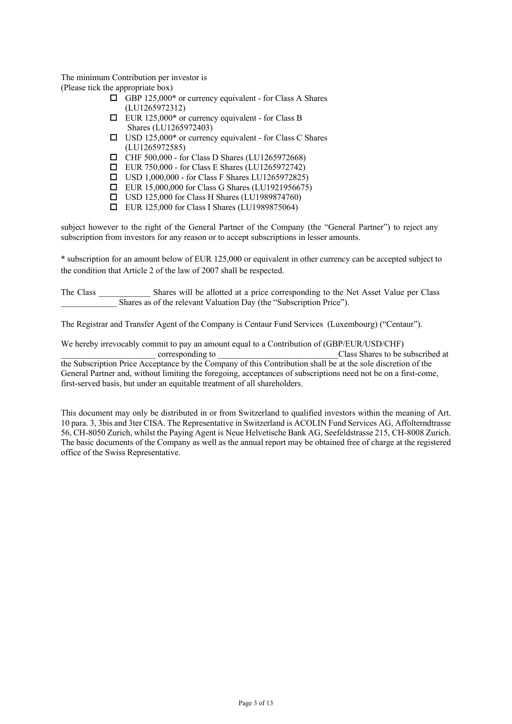The minimum Contribution per investor is (Please tick the appropriate box)

- $\Box$  GBP 125,000\* or currency equivalent for Class A Shares (LU1265972312)
- $\Box$  EUR 125,000\* or currency equivalent for Class B Shares (LU1265972403)
- $\Box$  USD 125,000\* or currency equivalent for Class C Shares (LU1265972585)
- $\Box$  CHF 500,000 for Class D Shares (LU1265972668)
- $\Box$  EUR 750,000 for Class E Shares (LU1265972742)
- $\Box$  USD 1,000,000 for Class F Shares LU1265972825)
- $\Box$  EUR 15,000,000 for Class G Shares (LU1921956675)
- $\Box$  USD 125,000 for Class H Shares (LU1989874760)
- $\Box$  EUR 125,000 for Class I Shares (LU1989875064)

subject however to the right of the General Partner of the Company (the "General Partner") to reject any subscription from investors for any reason or to accept subscriptions in lesser amounts.

\* subscription for an amount below of EUR 125,000 or equivalent in other currency can be accepted subject to the condition that Article 2 of the law of 2007 shall be respected.

The Class \_\_\_\_\_\_\_\_\_\_\_\_ Shares will be allotted at a price corresponding to the Net Asset Value per Class Shares as of the relevant Valuation Day (the "Subscription Price").

The Registrar and Transfer Agent of the Company is Centaur Fund Services (Luxembourg) ("Centaur").

We hereby irrevocably commit to pay an amount equal to a Contribution of (GBP/EUR/USD/CHF) corresponding to  $\Box$  corresponding to  $\Box$  class Shares to be subscribed at the Subscription Price Acceptance by the Company of this Contribution shall be at the sole discretion of the General Partner and, without limiting the foregoing, acceptances of subscriptions need not be on a first-come, first-served basis, but under an equitable treatment of all shareholders.

This document may only be distributed in or from Switzerland to qualified investors within the meaning of Art. 10 para. 3, 3bis and 3ter CISA. The Representative in Switzerland is ACOLIN Fund Services AG, Affolterndtrasse 56, CH-8050 Zurich, whilst the Paying Agent is Neue Helvetische Bank AG, Seefeldstrasse 215, CH-8008 Zurich. The basic documents of the Company as well as the annual report may be obtained free of charge at the registered office of the Swiss Representative.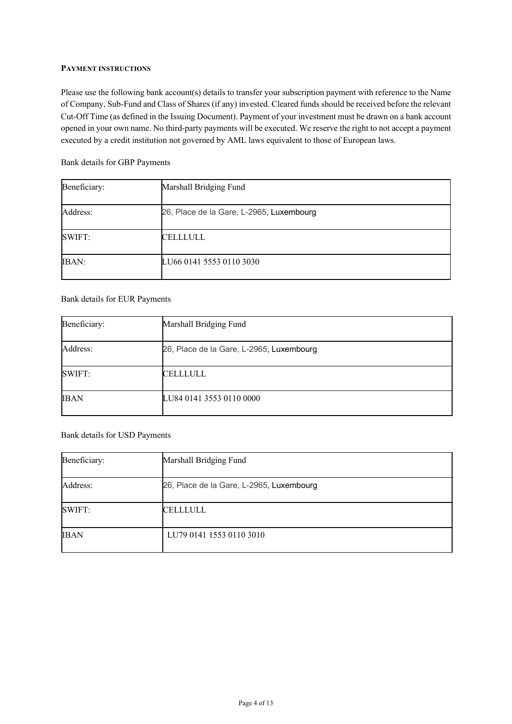## **PAYMENT INSTRUCTIONS**

Please use the following bank account(s) details to transfer your subscription payment with reference to the Name of Company, Sub-Fund and Class of Shares (if any) invested. Cleared funds should be received before the relevant Cut-Off Time (as defined in the Issuing Document). Payment of your investment must be drawn on a bank account opened in your own name. No third-party payments will be executed. We reserve the right to not accept a payment executed by a credit institution not governed by AML laws equivalent to those of European laws.

Bank details for GBP Payments

| Beneficiary: | Marshall Bridging Fund                   |
|--------------|------------------------------------------|
| Address:     | 26, Place de la Gare, L-2965, Luxembourg |
| SWIFT:       | CELLLULL                                 |
| IBAN:        | LU66 0141 5553 0110 3030                 |

Bank details for EUR Payments

| Beneficiary: | Marshall Bridging Fund                   |
|--------------|------------------------------------------|
| Address:     | 26, Place de la Gare, L-2965, Luxembourg |
| SWIFT:       | CELLLULL                                 |
| <b>IBAN</b>  | LU84 0141 3553 0110 0000                 |

Bank details for USD Payments

| Beneficiary: | Marshall Bridging Fund                   |
|--------------|------------------------------------------|
| Address:     | 26, Place de la Gare, L-2965, Luxembourg |
| SWIFT:       | <b>CELLLULL</b>                          |
| <b>IBAN</b>  | LU79 0141 1553 0110 3010                 |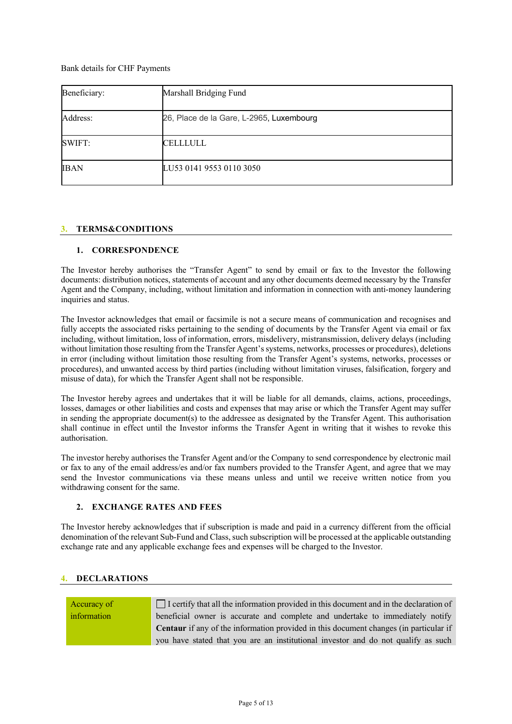Bank details for CHF Payments

| Beneficiary: | Marshall Bridging Fund                   |
|--------------|------------------------------------------|
| Address:     | 26, Place de la Gare, L-2965, Luxembourg |
| SWIFT:       | CELLLULL                                 |
| <b>IBAN</b>  | LU53 0141 9553 0110 3050                 |

## **3. TERMS&CONDITIONS**

## **1. CORRESPONDENCE**

The Investor hereby authorises the "Transfer Agent" to send by email or fax to the Investor the following documents: distribution notices, statements of account and any other documents deemed necessary by the Transfer Agent and the Company, including, without limitation and information in connection with anti-money laundering inquiries and status.

The Investor acknowledges that email or facsimile is not a secure means of communication and recognises and fully accepts the associated risks pertaining to the sending of documents by the Transfer Agent via email or fax including, without limitation, loss of information, errors, misdelivery, mistransmission, delivery delays (including without limitation those resulting from the Transfer Agent's systems, networks, processes or procedures), deletions in error (including without limitation those resulting from the Transfer Agent's systems, networks, processes or procedures), and unwanted access by third parties (including without limitation viruses, falsification, forgery and misuse of data), for which the Transfer Agent shall not be responsible.

The Investor hereby agrees and undertakes that it will be liable for all demands, claims, actions, proceedings, losses, damages or other liabilities and costs and expenses that may arise or which the Transfer Agent may suffer in sending the appropriate document(s) to the addressee as designated by the Transfer Agent. This authorisation shall continue in effect until the Investor informs the Transfer Agent in writing that it wishes to revoke this authorisation.

The investor hereby authorises the Transfer Agent and/or the Company to send correspondence by electronic mail or fax to any of the email address/es and/or fax numbers provided to the Transfer Agent, and agree that we may send the Investor communications via these means unless and until we receive written notice from you withdrawing consent for the same.

#### **2. EXCHANGE RATES AND FEES**

The Investor hereby acknowledges that if subscription is made and paid in a currency different from the official denomination of the relevant Sub-Fund and Class, such subscription will be processed at the applicable outstanding exchange rate and any applicable exchange fees and expenses will be charged to the Investor.

## **4. DECLARATIONS**

Accuracy of information

# $\Box$  I certify that all the information provided in this document and in the declaration of beneficial owner is accurate and complete and undertake to immediately notify **Centaur** if any of the information provided in this document changes (in particular if you have stated that you are an institutional investor and do not qualify as such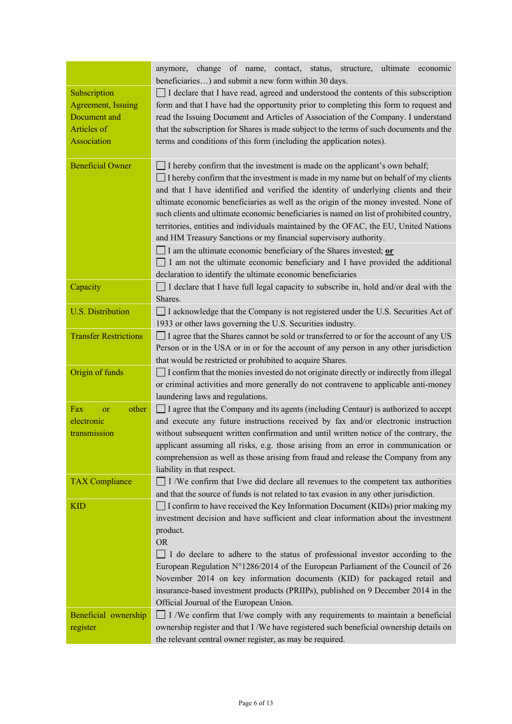|                              | of name,<br>ultimate<br>change<br>contact, status,<br>economic<br>anymore,<br>structure,<br>beneficiaries) and submit a new form within 30 days.                  |
|------------------------------|-------------------------------------------------------------------------------------------------------------------------------------------------------------------|
| Subscription                 | $\Box$ I declare that I have read, agreed and understood the contents of this subscription                                                                        |
| Agreement, Issuing           | form and that I have had the opportunity prior to completing this form to request and                                                                             |
| Document and                 | read the Issuing Document and Articles of Association of the Company. I understand                                                                                |
| Articles of                  | that the subscription for Shares is made subject to the terms of such documents and the                                                                           |
| Association                  | terms and conditions of this form (including the application notes).                                                                                              |
|                              |                                                                                                                                                                   |
| <b>Beneficial Owner</b>      | I hereby confirm that the investment is made on the applicant's own behalf;                                                                                       |
|                              | I hereby confirm that the investment is made in my name but on behalf of my clients                                                                               |
|                              | and that I have identified and verified the identity of underlying clients and their                                                                              |
|                              | ultimate economic beneficiaries as well as the origin of the money invested. None of                                                                              |
|                              | such clients and ultimate economic beneficiaries is named on list of prohibited country,                                                                          |
|                              | territories, entities and individuals maintained by the OFAC, the EU, United Nations                                                                              |
|                              | and HM Treasury Sanctions or my financial supervisory authority.                                                                                                  |
|                              | I am the ultimate economic beneficiary of the Shares invested; or                                                                                                 |
|                              | I am not the ultimate economic beneficiary and I have provided the additional                                                                                     |
|                              | declaration to identify the ultimate economic beneficiaries                                                                                                       |
| Capacity                     | I declare that I have full legal capacity to subscribe in, hold and/or deal with the                                                                              |
|                              | Shares.                                                                                                                                                           |
| <b>U.S. Distribution</b>     | □ I acknowledge that the Company is not registered under the U.S. Securities Act of                                                                               |
|                              | 1933 or other laws governing the U.S. Securities industry.                                                                                                        |
| <b>Transfer Restrictions</b> | □ I agree that the Shares cannot be sold or transferred to or for the account of any US                                                                           |
|                              | Person or in the USA or in or for the account of any person in any other jurisdiction                                                                             |
|                              | that would be restricted or prohibited to acquire Shares.                                                                                                         |
| Origin of funds              | $\Box$ I confirm that the monies invested do not originate directly or indirectly from illegal                                                                    |
|                              | or criminal activities and more generally do not contravene to applicable anti-money                                                                              |
|                              | laundering laws and regulations.                                                                                                                                  |
| Fax<br>other<br>or           | $\Box$ I agree that the Company and its agents (including Centaur) is authorized to accept                                                                        |
| electronic                   | and execute any future instructions received by fax and/or electronic instruction                                                                                 |
| transmission                 | without subsequent written confirmation and until written notice of the contrary, the                                                                             |
|                              | applicant assuming all risks, e.g. those arising from an error in communication or                                                                                |
|                              | comprehension as well as those arising from fraud and release the Company from any                                                                                |
|                              | liability in that respect.                                                                                                                                        |
| <b>TAX Compliance</b>        | $\Box$ I /We confirm that I/we did declare all revenues to the competent tax authorities                                                                          |
|                              | and that the source of funds is not related to tax evasion in any other jurisdiction.                                                                             |
| <b>KID</b>                   | $\Box$ I confirm to have received the Key Information Document (KIDs) prior making my                                                                             |
|                              | investment decision and have sufficient and clear information about the investment                                                                                |
|                              | product.                                                                                                                                                          |
|                              | <b>OR</b>                                                                                                                                                         |
|                              | I do declare to adhere to the status of professional investor according to the<br>European Regulation N°1286/2014 of the European Parliament of the Council of 26 |
|                              | November 2014 on key information documents (KID) for packaged retail and                                                                                          |
|                              |                                                                                                                                                                   |
|                              | insurance-based investment products (PRIIPs), published on 9 December 2014 in the<br>Official Journal of the European Union.                                      |
| Beneficial ownership         | $\Box$ I /We confirm that I/we comply with any requirements to maintain a beneficial                                                                              |
| register                     | ownership register and that I/We have registered such beneficial ownership details on                                                                             |
|                              | the relevant central owner register, as may be required.                                                                                                          |
|                              |                                                                                                                                                                   |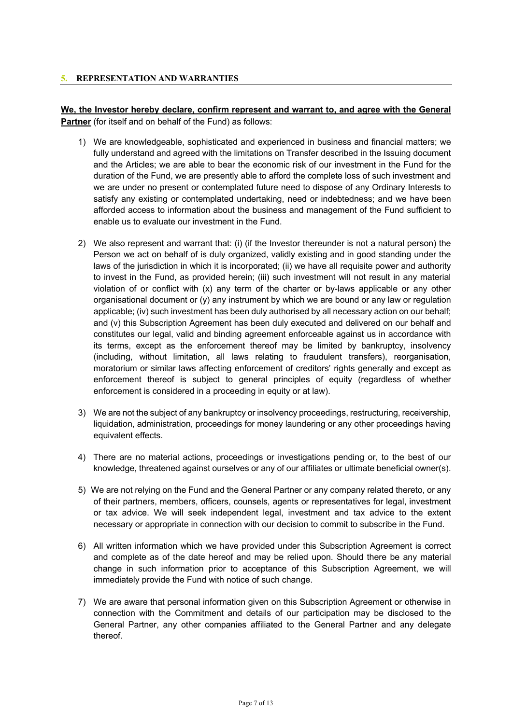## **5. REPRESENTATION AND WARRANTIES**

**We, the Investor hereby declare, confirm represent and warrant to, and agree with the General Partner** (for itself and on behalf of the Fund) as follows:

- 1) We are knowledgeable, sophisticated and experienced in business and financial matters; we fully understand and agreed with the limitations on Transfer described in the Issuing document and the Articles; we are able to bear the economic risk of our investment in the Fund for the duration of the Fund, we are presently able to afford the complete loss of such investment and we are under no present or contemplated future need to dispose of any Ordinary Interests to satisfy any existing or contemplated undertaking, need or indebtedness; and we have been afforded access to information about the business and management of the Fund sufficient to enable us to evaluate our investment in the Fund.
- 2) We also represent and warrant that: (i) (if the Investor thereunder is not a natural person) the Person we act on behalf of is duly organized, validly existing and in good standing under the laws of the jurisdiction in which it is incorporated; (ii) we have all requisite power and authority to invest in the Fund, as provided herein; (iii) such investment will not result in any material violation of or conflict with (x) any term of the charter or by-laws applicable or any other organisational document or (y) any instrument by which we are bound or any law or regulation applicable; (iv) such investment has been duly authorised by all necessary action on our behalf; and (v) this Subscription Agreement has been duly executed and delivered on our behalf and constitutes our legal, valid and binding agreement enforceable against us in accordance with its terms, except as the enforcement thereof may be limited by bankruptcy, insolvency (including, without limitation, all laws relating to fraudulent transfers), reorganisation, moratorium or similar laws affecting enforcement of creditors' rights generally and except as enforcement thereof is subject to general principles of equity (regardless of whether enforcement is considered in a proceeding in equity or at law).
- 3) We are not the subject of any bankruptcy or insolvency proceedings, restructuring, receivership, liquidation, administration, proceedings for money laundering or any other proceedings having equivalent effects.
- 4) There are no material actions, proceedings or investigations pending or, to the best of our knowledge, threatened against ourselves or any of our affiliates or ultimate beneficial owner(s).
- 5) We are not relying on the Fund and the General Partner or any company related thereto, or any of their partners, members, officers, counsels, agents or representatives for legal, investment or tax advice. We will seek independent legal, investment and tax advice to the extent necessary or appropriate in connection with our decision to commit to subscribe in the Fund.
- 6) All written information which we have provided under this Subscription Agreement is correct and complete as of the date hereof and may be relied upon. Should there be any material change in such information prior to acceptance of this Subscription Agreement, we will immediately provide the Fund with notice of such change.
- 7) We are aware that personal information given on this Subscription Agreement or otherwise in connection with the Commitment and details of our participation may be disclosed to the General Partner, any other companies affiliated to the General Partner and any delegate thereof.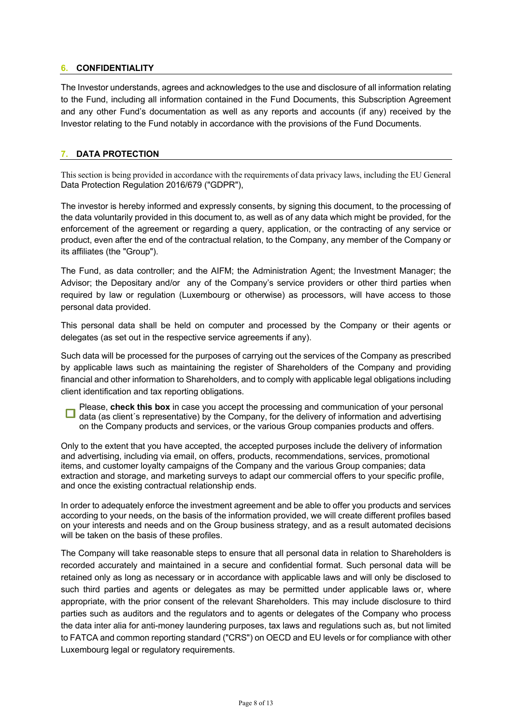## **6. CONFIDENTIALITY**

The Investor understands, agrees and acknowledges to the use and disclosure of all information relating to the Fund, including all information contained in the Fund Documents, this Subscription Agreement and any other Fund's documentation as well as any reports and accounts (if any) received by the Investor relating to the Fund notably in accordance with the provisions of the Fund Documents.

## **7. DATA PROTECTION**

This section is being provided in accordance with the requirements of data privacy laws, including the EU General Data Protection Regulation 2016/679 ("GDPR"),

The investor is hereby informed and expressly consents, by signing this document, to the processing of the data voluntarily provided in this document to, as well as of any data which might be provided, for the enforcement of the agreement or regarding a query, application, or the contracting of any service or product, even after the end of the contractual relation, to the Company, any member of the Company or its affiliates (the "Group").

The Fund, as data controller; and the AIFM; the Administration Agent; the Investment Manager; the Advisor; the Depositary and/or any of the Company's service providers or other third parties when required by law or regulation (Luxembourg or otherwise) as processors, will have access to those personal data provided.

This personal data shall be held on computer and processed by the Company or their agents or delegates (as set out in the respective service agreements if any).

Such data will be processed for the purposes of carrying out the services of the Company as prescribed by applicable laws such as maintaining the register of Shareholders of the Company and providing financial and other information to Shareholders, and to comply with applicable legal obligations including client identification and tax reporting obligations.

Please, **check this box** in case you accept the processing and communication of your personal O data (as client´s representative) by the Company, for the delivery of information and advertising on the Company products and services, or the various Group companies products and offers.

Only to the extent that you have accepted, the accepted purposes include the delivery of information and advertising, including via email, on offers, products, recommendations, services, promotional items, and customer loyalty campaigns of the Company and the various Group companies; data extraction and storage, and marketing surveys to adapt our commercial offers to your specific profile, and once the existing contractual relationship ends.

In order to adequately enforce the investment agreement and be able to offer you products and services according to your needs, on the basis of the information provided, we will create different profiles based on your interests and needs and on the Group business strategy, and as a result automated decisions will be taken on the basis of these profiles.

The Company will take reasonable steps to ensure that all personal data in relation to Shareholders is recorded accurately and maintained in a secure and confidential format. Such personal data will be retained only as long as necessary or in accordance with applicable laws and will only be disclosed to such third parties and agents or delegates as may be permitted under applicable laws or, where appropriate, with the prior consent of the relevant Shareholders. This may include disclosure to third parties such as auditors and the regulators and to agents or delegates of the Company who process the data inter alia for anti-money laundering purposes, tax laws and regulations such as, but not limited to FATCA and common reporting standard ("CRS") on OECD and EU levels or for compliance with other Luxembourg legal or regulatory requirements.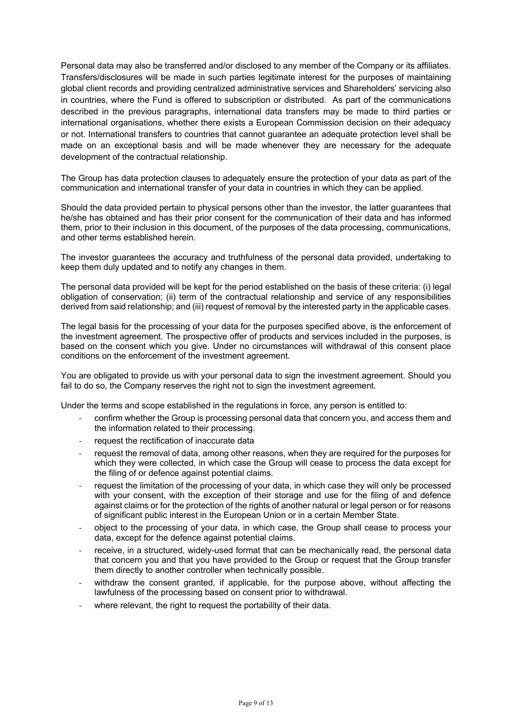Personal data may also be transferred and/or disclosed to any member of the Company or its affiliates. Transfers/disclosures will be made in such parties legitimate interest for the purposes of maintaining global client records and providing centralized administrative services and Shareholders' servicing also in countries, where the Fund is offered to subscription or distributed. As part of the communications described in the previous paragraphs, international data transfers may be made to third parties or international organisations, whether there exists a European Commission decision on their adequacy or not. International transfers to countries that cannot guarantee an adequate protection level shall be made on an exceptional basis and will be made whenever they are necessary for the adequate development of the contractual relationship.

The Group has data protection clauses to adequately ensure the protection of your data as part of the communication and international transfer of your data in countries in which they can be applied.

Should the data provided pertain to physical persons other than the investor, the latter guarantees that he/she has obtained and has their prior consent for the communication of their data and has informed them, prior to their inclusion in this document, of the purposes of the data processing, communications, and other terms established herein.

The investor guarantees the accuracy and truthfulness of the personal data provided, undertaking to keep them duly updated and to notify any changes in them.

The personal data provided will be kept for the period established on the basis of these criteria: (i) legal obligation of conservation; (ii) term of the contractual relationship and service of any responsibilities derived from said relationship; and (iii) request of removal by the interested party in the applicable cases.

The legal basis for the processing of your data for the purposes specified above, is the enforcement of the investment agreement. The prospective offer of products and services included in the purposes, is based on the consent which you give. Under no circumstances will withdrawal of this consent place conditions on the enforcement of the investment agreement.

You are obligated to provide us with your personal data to sign the investment agreement. Should you fail to do so, the Company reserves the right not to sign the investment agreement.

Under the terms and scope established in the regulations in force, any person is entitled to:

- confirm whether the Group is processing personal data that concern you, and access them and the information related to their processing.
- request the rectification of inaccurate data
- request the removal of data, among other reasons, when they are required for the purposes for which they were collected, in which case the Group will cease to process the data except for the filing of or defence against potential claims.
- request the limitation of the processing of your data, in which case they will only be processed with your consent, with the exception of their storage and use for the filing of and defence against claims or for the protection of the rights of another natural or legal person or for reasons of significant public interest in the European Union or in a certain Member State.
- object to the processing of your data, in which case, the Group shall cease to process your data, except for the defence against potential claims.
- receive, in a structured, widely-used format that can be mechanically read, the personal data that concern you and that you have provided to the Group or request that the Group transfer them directly to another controller when technically possible.
- withdraw the consent granted, if applicable, for the purpose above, without affecting the lawfulness of the processing based on consent prior to withdrawal.
- where relevant, the right to request the portability of their data.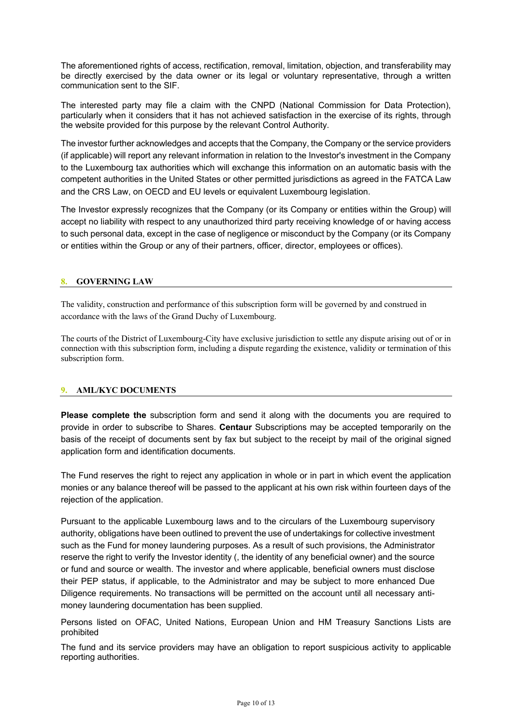The aforementioned rights of access, rectification, removal, limitation, objection, and transferability may be directly exercised by the data owner or its legal or voluntary representative, through a written communication sent to the SIF.

The interested party may file a claim with the CNPD (National Commission for Data Protection), particularly when it considers that it has not achieved satisfaction in the exercise of its rights, through the website provided for this purpose by the relevant Control Authority.

The investor further acknowledges and accepts that the Company, the Company or the service providers (if applicable) will report any relevant information in relation to the Investor's investment in the Company to the Luxembourg tax authorities which will exchange this information on an automatic basis with the competent authorities in the United States or other permitted jurisdictions as agreed in the FATCA Law and the CRS Law, on OECD and EU levels or equivalent Luxembourg legislation.

The Investor expressly recognizes that the Company (or its Company or entities within the Group) will accept no liability with respect to any unauthorized third party receiving knowledge of or having access to such personal data, except in the case of negligence or misconduct by the Company (or its Company or entities within the Group or any of their partners, officer, director, employees or offices).

## **8. GOVERNING LAW**

The validity, construction and performance of this subscription form will be governed by and construed in accordance with the laws of the Grand Duchy of Luxembourg.

The courts of the District of Luxembourg-City have exclusive jurisdiction to settle any dispute arising out of or in connection with this subscription form, including a dispute regarding the existence, validity or termination of this subscription form.

## **9. AML/KYC DOCUMENTS**

**Please complete the** subscription form and send it along with the documents you are required to provide in order to subscribe to Shares. **Centaur** Subscriptions may be accepted temporarily on the basis of the receipt of documents sent by fax but subject to the receipt by mail of the original signed application form and identification documents.

The Fund reserves the right to reject any application in whole or in part in which event the application monies or any balance thereof will be passed to the applicant at his own risk within fourteen days of the rejection of the application.

Pursuant to the applicable Luxembourg laws and to the circulars of the Luxembourg supervisory authority, obligations have been outlined to prevent the use of undertakings for collective investment such as the Fund for money laundering purposes. As a result of such provisions, the Administrator reserve the right to verify the Investor identity (, the identity of any beneficial owner) and the source or fund and source or wealth. The investor and where applicable, beneficial owners must disclose their PEP status, if applicable, to the Administrator and may be subject to more enhanced Due Diligence requirements. No transactions will be permitted on the account until all necessary antimoney laundering documentation has been supplied.

Persons listed on OFAC, United Nations, European Union and HM Treasury Sanctions Lists are prohibited

The fund and its service providers may have an obligation to report suspicious activity to applicable reporting authorities.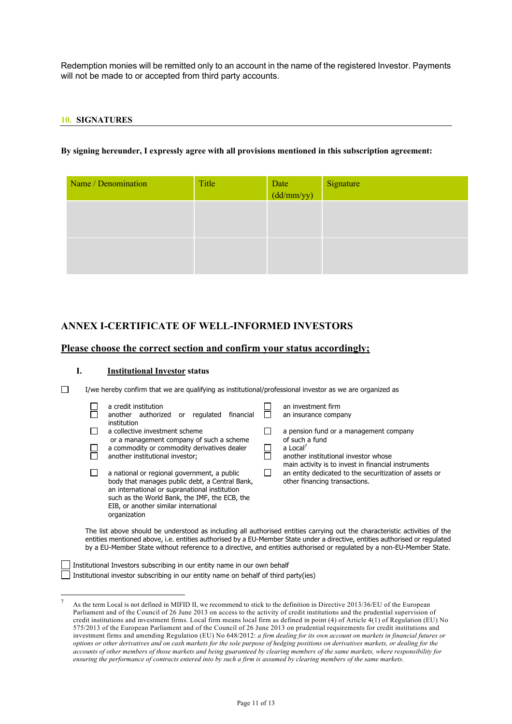Redemption monies will be remitted only to an account in the name of the registered Investor. Payments will not be made to or accepted from third party accounts.

#### **10. SIGNATURES**

#### **By signing hereunder, I expressly agree with all provisions mentioned in this subscription agreement:**

| Name / Denomination | Title | Date<br>(dd/mm/yy) | Signature |
|---------------------|-------|--------------------|-----------|
|                     |       |                    |           |
|                     |       |                    |           |
|                     |       |                    |           |

## **ANNEX I-CERTIFICATE OF WELL-INFORMED INVESTORS**

## **Please choose the correct section and confirm your status accordingly;**

#### **I. Institutional Investor status**

 $\Box$ I/we hereby confirm that we are qualifying as institutional/professional investor as we are organized as

|  | a credit institution<br>another authorized<br>regulated<br>financial<br>or                                                                                                                                                                               | an investment firm<br>an insurance company                                                                                                     |
|--|----------------------------------------------------------------------------------------------------------------------------------------------------------------------------------------------------------------------------------------------------------|------------------------------------------------------------------------------------------------------------------------------------------------|
|  | institution<br>a collective investment scheme<br>or a management company of such a scheme                                                                                                                                                                | a pension fund or a management company<br>of such a fund                                                                                       |
|  | a commodity or commodity derivatives dealer<br>another institutional investor;                                                                                                                                                                           | a Local <sup>7</sup><br>another institutional investor whose                                                                                   |
|  | a national or regional government, a public<br>body that manages public debt, a Central Bank,<br>an international or supranational institution<br>such as the World Bank, the IMF, the ECB, the<br>EIB, or another similar international<br>organization | main activity is to invest in financial instruments<br>an entity dedicated to the securitization of assets or<br>other financing transactions. |

The list above should be understood as including all authorised entities carrying out the characteristic activities of the entities mentioned above, i.e. entities authorised by a EU‐Member State under a directive, entities authorised or regulated by a EU‐Member State without reference to a directive, and entities authorised or regulated by a non‐EU‐Member State.

 $\Box$  Institutional Investors subscribing in our entity name in our own behalf  $\Box$  Institutional investor subscribing in our entity name on behalf of third party(ies)

<sup>7</sup> As the term Local is not defined in MIFID II, we recommend to stick to the definition in Directive 2013/36/EU of the European Parliament and of the Council of 26 June 2013 on access to the activity of credit institutions and the prudential supervision of credit institutions and investment firms. Local firm means local firm as defined in point (4) of Article 4(1) of Regulation (EU) No 575/2013 of the European Parliament and of the Council of 26 June 2013 on prudential requirements for credit institutions and investment firms and amending Regulation (EU) No 648/2012: *a firm dealing for its own account on markets in financial futures or options or other derivatives and on cash markets for the sole purpose of hedging positions on derivatives markets, or dealing for the accounts of other members of those markets and being guaranteed by clearing members of the same markets, where responsibility for ensuring the performance of contracts entered into by such a firm is assumed by clearing members of the same markets*.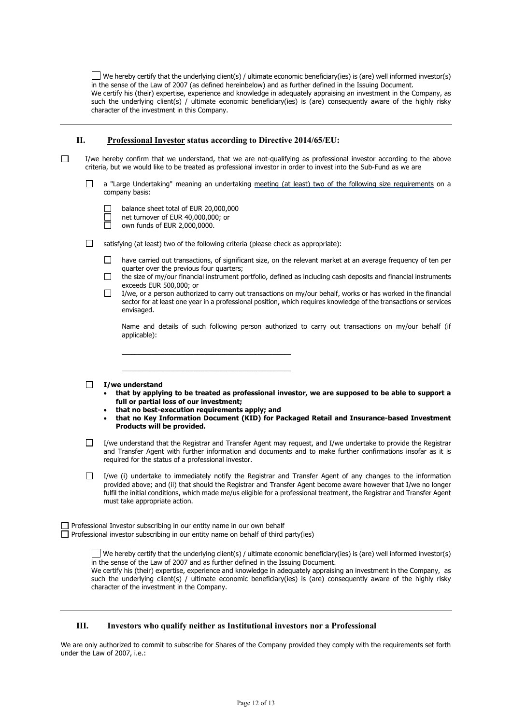We hereby certify that the underlying client(s) / ultimate economic beneficiary(ies) is (are) well informed investor(s) in the sense of the Law of 2007 (as defined hereinbelow) and as further defined in the Issuing Document. We certify his (their) expertise, experience and knowledge in adequately appraising an investment in the Company, as such the underlying client(s) / ultimate economic beneficiary(ies) is (are) consequently aware of the highly risky character of the investment in this Company.

#### **II. Professional Investor status according to Directive 2014/65/EU:**

- $\Box$ I/we hereby confirm that we understand, that we are not-qualifying as professional investor according to the above criteria, but we would like to be treated as professional investor in order to invest into the Sub-Fund as we are
	- a "Large Undertaking" meaning an undertaking meeting (at least) two of the following size requirements on a П company basis:
	- П balance sheet total of EUR 20,000,000 net turnover of EUR 40,000,000; or  $\Box$ own funds of EUR 2,000,0000. П satisfying (at least) two of the following criteria (please check as appropriate):  $\Box$  have carried out transactions, of significant size, on the relevant market at an average frequency of ten per quarter over the previous four quarters;  $\Box$ the size of my/our financial instrument portfolio, defined as including cash deposits and financial instruments exceeds EUR 500,000; or  $\Box$  I/we, or a person authorized to carry out transactions on my/our behalf, works or has worked in the financial sector for at least one year in a professional position, which requires knowledge of the transactions or services envisaged. Name and details of such following person authorized to carry out transactions on my/our behalf (if applicable): \_\_\_\_\_\_\_\_\_\_\_\_\_\_\_\_\_\_\_\_\_\_\_\_\_\_\_\_\_\_\_\_\_\_\_\_\_\_\_\_\_\_\_\_\_ \_\_\_\_\_\_\_\_\_\_\_\_\_\_\_\_\_\_\_\_\_\_\_\_\_\_\_\_\_\_\_\_\_\_\_\_\_\_\_\_\_\_\_\_\_ **I/we understand** • **that by applying to be treated as professional investor, we are supposed to be able to support a full or partial loss of our investment;** • **that no best-execution requirements apply; and** • **that no Key Information Document (KID) for Packaged Retail and Insurance-based Investment Products will be provided.**

I/we understand that the Registrar and Transfer Agent may request, and I/we undertake to provide the Registrar  $\Box$ and Transfer Agent with further information and documents and to make further confirmations insofar as it is required for the status of a professional investor.

 $\Box$ I/we (i) undertake to immediately notify the Registrar and Transfer Agent of any changes to the information provided above; and (ii) that should the Registrar and Transfer Agent become aware however that I/we no longer fulfil the initial conditions, which made me/us eligible for a professional treatment, the Registrar and Transfer Agent must take appropriate action.

 $\Box$  Professional Investor subscribing in our entity name in our own behalf  $\Box$  Professional investor subscribing in our entity name on behalf of third party(ies)

> We hereby certify that the underlying client(s) / ultimate economic beneficiary(ies) is (are) well informed investor(s) in the sense of the Law of 2007 and as further defined in the Issuing Document. We certify his (their) expertise, experience and knowledge in adequately appraising an investment in the Company, as such the underlying client(s) / ultimate economic beneficiary(ies) is (are) consequently aware of the highly risky character of the investment in the Company.

#### **III. Investors who qualify neither as Institutional investors nor a Professional**

We are only authorized to commit to subscribe for Shares of the Company provided they comply with the requirements set forth under the Law of 2007, i.e.: